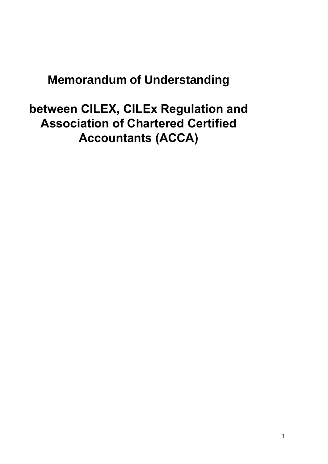# **Memorandum of Understanding**

**between CILEX, CILEx Regulation and Association of Chartered Certified Accountants (ACCA)**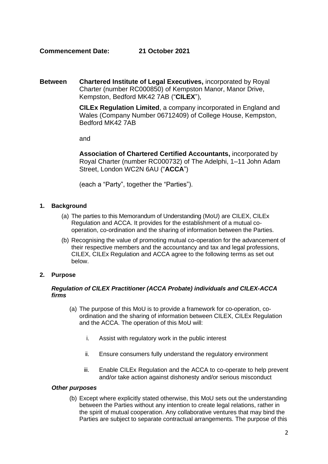**Commencement Date: 21 October 2021**

**Between Chartered Institute of Legal Executives,** incorporated by Royal Charter (number RC000850) of Kempston Manor, Manor Drive, Kempston, Bedford MK42 7AB ("**CILEX**"),

> **CILEx Regulation Limited**, a company incorporated in England and Wales (Company Number 06712409) of College House, Kempston, Bedford MK42 7AB

and

**Association of Chartered Certified Accountants,** incorporated by Royal Charter (number RC000732) of The Adelphi, 1–11 John Adam Street, London WC2N 6AU ("**ACCA**")

(each a "Party", together the "Parties").

#### **1. Background**

- (a) The parties to this Memorandum of Understanding (MoU) are CILEX, CILEx Regulation and ACCA. It provides for the establishment of a mutual cooperation, co-ordination and the sharing of information between the Parties.
- (b) Recognising the value of promoting mutual co-operation for the advancement of their respective members and the accountancy and tax and legal professions, CILEX, CILEx Regulation and ACCA agree to the following terms as set out below.

## **2. Purpose**

#### *Regulation of CILEX Practitioner (ACCA Probate) individuals and CILEX-ACCA firms*

- (a) The purpose of this MoU is to provide a framework for co-operation, coordination and the sharing of information between CILEX, CILEx Regulation and the ACCA. The operation of this MoU will:
	- i. Assist with regulatory work in the public interest
	- ii. Ensure consumers fully understand the regulatory environment
	- iii. Enable CILEx Regulation and the ACCA to co-operate to help prevent and/or take action against dishonesty and/or serious misconduct

#### *Other purposes*

(b) Except where explicitly stated otherwise, this MoU sets out the understanding between the Parties without any intention to create legal relations, rather in the spirit of mutual cooperation. Any collaborative ventures that may bind the Parties are subject to separate contractual arrangements. The purpose of this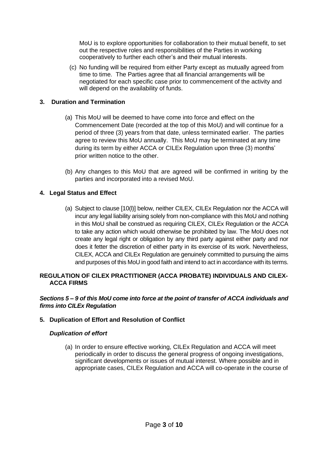MoU is to explore opportunities for collaboration to their mutual benefit, to set out the respective roles and responsibilities of the Parties in working cooperatively to further each other's and their mutual interests.

(c) No funding will be required from either Party except as mutually agreed from time to time. The Parties agree that all financial arrangements will be negotiated for each specific case prior to commencement of the activity and will depend on the availability of funds.

# **3. Duration and Termination**

- (a) This MoU will be deemed to have come into force and effect on the Commencement Date (recorded at the top of this MoU) and will continue for a period of three (3) years from that date, unless terminated earlier. The parties agree to review this MoU annually. This MoU may be terminated at any time during its term by either ACCA or CILEx Regulation upon three (3) months' prior written notice to the other.
- (b) Any changes to this MoU that are agreed will be confirmed in writing by the parties and incorporated into a revised MoU.

# **4. Legal Status and Effect**

(a) Subject to clause [10(l)] below, neither CILEX, CILEx Regulation nor the ACCA will incur any legal liability arising solely from non-compliance with this MoU and nothing in this MoU shall be construed as requiring CILEX, CILEx Regulation or the ACCA to take any action which would otherwise be prohibited by law. The MoU does not create any legal right or obligation by any third party against either party and nor does it fetter the discretion of either party in its exercise of its work. Nevertheless, CILEX, ACCA and CILEx Regulation are genuinely committed to pursuing the aims and purposes of this MoU in good faith and intend to act in accordance with its terms.

## **REGULATION OF CILEX PRACTITIONER (ACCA PROBATE) INDIVIDUALS AND CILEX-ACCA FIRMS**

# *Sections 5 – 9 of this MoU come into force at the point of transfer of ACCA individuals and firms into CILEx Regulation*

## **5. Duplication of Effort and Resolution of Conflict**

## *Duplication of effort*

(a) In order to ensure effective working, CILEx Regulation and ACCA will meet periodically in order to discuss the general progress of ongoing investigations, significant developments or issues of mutual interest. Where possible and in appropriate cases, CILEx Regulation and ACCA will co-operate in the course of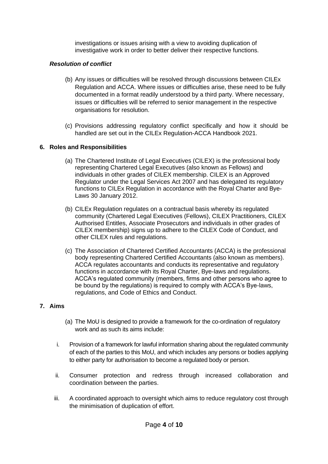investigations or issues arising with a view to avoiding duplication of investigative work in order to better deliver their respective functions.

# *Resolution of conflict*

- (b) Any issues or difficulties will be resolved through discussions between CILEx Regulation and ACCA. Where issues or difficulties arise, these need to be fully documented in a format readily understood by a third party. Where necessary, issues or difficulties will be referred to senior management in the respective organisations for resolution.
- (c) Provisions addressing regulatory conflict specifically and how it should be handled are set out in the CILEx Regulation-ACCA Handbook 2021.

# **6. Roles and Responsibilities**

- (a) The Chartered Institute of Legal Executives (CILEX) is the professional body representing Chartered Legal Executives (also known as Fellows) and individuals in other grades of CILEX membership. CILEX is an Approved Regulator under the Legal Services Act 2007 and has delegated its regulatory functions to CILEx Regulation in accordance with the Royal Charter and Bye-Laws 30 January 2012.
- (b) CILEx Regulation regulates on a contractual basis whereby its regulated community (Chartered Legal Executives (Fellows), CILEX Practitioners, CILEX Authorised Entitles, Associate Prosecutors and individuals in other grades of CILEX membership) signs up to adhere to the CILEX Code of Conduct, and other CILEX rules and regulations.
- (c) The Association of Chartered Certified Accountants (ACCA) is the professional body representing Chartered Certified Accountants (also known as members). ACCA regulates accountants and conducts its representative and regulatory functions in accordance with its Royal Charter, Bye-laws and regulations. ACCA's regulated community (members, firms and other persons who agree to be bound by the regulations) is required to comply with ACCA's Bye-laws, regulations, and Code of Ethics and Conduct.

## **7. Aims**

- (a) The MoU is designed to provide a framework for the co-ordination of regulatory work and as such its aims include:
- i. Provision of a framework for lawful information sharing about the regulated community of each of the parties to this MoU, and which includes any persons or bodies applying to either party for authorisation to become a regulated body or person.
- ii. Consumer protection and redress through increased collaboration and coordination between the parties.
- iii. A coordinated approach to oversight which aims to reduce regulatory cost through the minimisation of duplication of effort.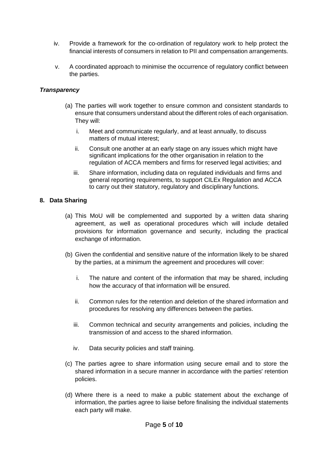- iv. Provide a framework for the co-ordination of regulatory work to help protect the financial interests of consumers in relation to PII and compensation arrangements.
- v. A coordinated approach to minimise the occurrence of regulatory conflict between the parties.

## *Transparency*

- (a) The parties will work together to ensure common and consistent standards to ensure that consumers understand about the different roles of each organisation. They will:
	- i. Meet and communicate regularly, and at least annually, to discuss matters of mutual interest;
	- ii. Consult one another at an early stage on any issues which might have significant implications for the other organisation in relation to the regulation of ACCA members and firms for reserved legal activities; and
	- iii. Share information, including data on regulated individuals and firms and general reporting requirements, to support CILEx Regulation and ACCA to carry out their statutory, regulatory and disciplinary functions.

## **8. Data Sharing**

- (a) This MoU will be complemented and supported by a written data sharing agreement, as well as operational procedures which will include detailed provisions for information governance and security, including the practical exchange of information.
- (b) Given the confidential and sensitive nature of the information likely to be shared by the parties, at a minimum the agreement and procedures will cover:
	- i. The nature and content of the information that may be shared, including how the accuracy of that information will be ensured.
	- ii. Common rules for the retention and deletion of the shared information and procedures for resolving any differences between the parties.
	- iii. Common technical and security arrangements and policies, including the transmission of and access to the shared information.
	- iv. Data security policies and staff training.
- (c) The parties agree to share information using secure email and to store the shared information in a secure manner in accordance with the parties' retention policies.
- (d) Where there is a need to make a public statement about the exchange of information, the parties agree to liaise before finalising the individual statements each party will make.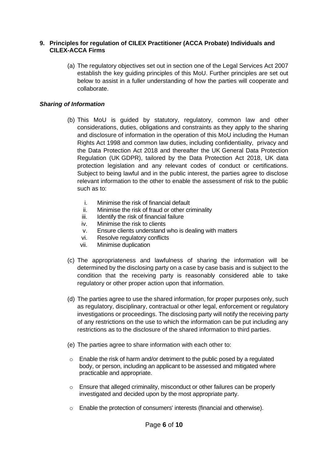#### **9. Principles for regulation of CILEX Practitioner (ACCA Probate) Individuals and CILEX-ACCA Firms**

(a) The regulatory objectives set out in section one of the Legal Services Act 2007 establish the key guiding principles of this MoU. Further principles are set out below to assist in a fuller understanding of how the parties will cooperate and collaborate.

# *Sharing of Information*

- (b) This MoU is guided by statutory, regulatory, common law and other considerations, duties, obligations and constraints as they apply to the sharing and disclosure of information in the operation of this MoU including the Human Rights Act 1998 and common law duties, including confidentiality, privacy and the Data Protection Act 2018 and thereafter the UK General Data Protection Regulation (UK GDPR), tailored by the Data Protection Act 2018, UK data protection legislation and any relevant codes of conduct or certifications. Subject to being lawful and in the public interest, the parties agree to disclose relevant information to the other to enable the assessment of risk to the public such as to:
	- i. Minimise the risk of financial default
	- ii. Minimise the risk of fraud or other criminality
	- iii. Identify the risk of financial failure
	- iv. Minimise the risk to clients
	- v. Ensure clients understand who is dealing with matters
	- vi. Resolve regulatory conflicts
	- vii. Minimise duplication
- (c) The appropriateness and lawfulness of sharing the information will be determined by the disclosing party on a case by case basis and is subject to the condition that the receiving party is reasonably considered able to take regulatory or other proper action upon that information.
- (d) The parties agree to use the shared information, for proper purposes only, such as regulatory, disciplinary, contractual or other legal, enforcement or regulatory investigations or proceedings. The disclosing party will notify the receiving party of any restrictions on the use to which the information can be put including any restrictions as to the disclosure of the shared information to third parties.
- (e) The parties agree to share information with each other to:
- o Enable the risk of harm and/or detriment to the public posed by a regulated body, or person, including an applicant to be assessed and mitigated where practicable and appropriate.
- o Ensure that alleged criminality, misconduct or other failures can be properly investigated and decided upon by the most appropriate party.
- o Enable the protection of consumers' interests (financial and otherwise).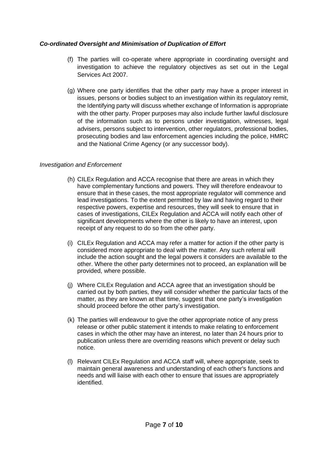## *Co-ordinated Oversight and Minimisation of Duplication of Effort*

- (f) The parties will co-operate where appropriate in coordinating oversight and investigation to achieve the regulatory objectives as set out in the Legal Services Act 2007.
- (g) Where one party identifies that the other party may have a proper interest in issues, persons or bodies subject to an investigation within its regulatory remit, the Identifying party will discuss whether exchange of Information is appropriate with the other party. Proper purposes may also include further lawful disclosure of the information such as to persons under investigation, witnesses, legal advisers, persons subject to intervention, other regulators, professional bodies, prosecuting bodies and law enforcement agencies including the police, HMRC and the National Crime Agency (or any successor body).

## *Investigation and Enforcement*

- (h) CILEx Regulation and ACCA recognise that there are areas in which they have complementary functions and powers. They will therefore endeavour to ensure that in these cases, the most appropriate regulator will commence and lead investigations. To the extent permitted by law and having regard to their respective powers, expertise and resources, they will seek to ensure that in cases of investigations, CILEx Regulation and ACCA will notify each other of significant developments where the other is likely to have an interest, upon receipt of any request to do so from the other party.
- (i) CILEx Regulation and ACCA may refer a matter for action if the other party is considered more appropriate to deal with the matter. Any such referral will include the action sought and the legal powers it considers are available to the other. Where the other party determines not to proceed, an explanation will be provided, where possible.
- (j) Where CILEx Regulation and ACCA agree that an investigation should be carried out by both parties, they will consider whether the particular facts of the matter, as they are known at that time, suggest that one party's investigation should proceed before the other party's investigation.
- (k) The parties will endeavour to give the other appropriate notice of any press release or other public statement it intends to make relating to enforcement cases in which the other may have an interest, no later than 24 hours prior to publication unless there are overriding reasons which prevent or delay such notice.
- (l) Relevant CILEx Regulation and ACCA staff will, where appropriate, seek to maintain general awareness and understanding of each other's functions and needs and will liaise with each other to ensure that issues are appropriately identified.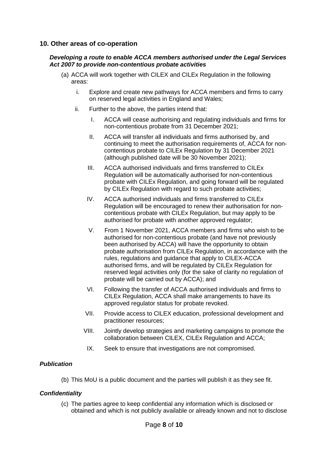## **10. Other areas of co-operation**

#### *Developing a route to enable ACCA members authorised under the Legal Services Act 2007 to provide non-contentious probate activities*

- (a) ACCA will work together with CILEX and CILEx Regulation in the following areas:
	- i. Explore and create new pathways for ACCA members and firms to carry on reserved legal activities in England and Wales;
	- ii. Further to the above, the parties intend that:
		- I. ACCA will cease authorising and regulating individuals and firms for non-contentious probate from 31 December 2021;
		- II. ACCA will transfer all individuals and firms authorised by, and continuing to meet the authorisation requirements of, ACCA for noncontentious probate to CILEx Regulation by 31 December 2021 (although published date will be 30 November 2021);
		- III. ACCA authorised individuals and firms transferred to CILEx Regulation will be automatically authorised for non-contentious probate with CILEx Regulation, and going forward will be regulated by CILEx Regulation with regard to such probate activities;
		- IV. ACCA authorised individuals and firms transferred to CILEx Regulation will be encouraged to renew their authorisation for noncontentious probate with CILEx Regulation, but may apply to be authorised for probate with another approved regulator;
		- V. From 1 November 2021, ACCA members and firms who wish to be authorised for non-contentious probate (and have not previously been authorised by ACCA) will have the opportunity to obtain probate authorisation from CILEx Regulation, in accordance with the rules, regulations and guidance that apply to CILEX-ACCA authorised firms, and will be regulated by CILEx Regulation for reserved legal activities only (for the sake of clarity no regulation of probate will be carried out by ACCA); and
		- VI. Following the transfer of ACCA authorised individuals and firms to CILEx Regulation, ACCA shall make arrangements to have its approved regulator status for probate revoked.
		- VII. Provide access to CILEX education, professional development and practitioner resources;
		- VIII. Jointly develop strategies and marketing campaigns to promote the collaboration between CILEX, CILEx Regulation and ACCA;
			- IX. Seek to ensure that investigations are not compromised.

## *Publication*

(b) This MoU is a public document and the parties will publish it as they see fit.

## *Confidentiality*

(c) The parties agree to keep confidential any information which is disclosed or obtained and which is not publicly available or already known and not to disclose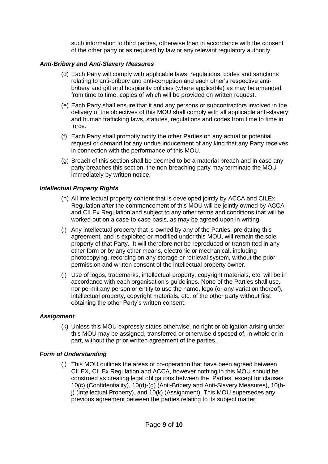such information to third parties, otherwise than in accordance with the consent of the other party or as required by law or any relevant regulatory authority.

#### *Anti-Bribery and Anti-Slavery Measures*

- (d) Each Party will comply with applicable laws, regulations, codes and sanctions relating to anti-bribery and anti-corruption and each other's respective antibribery and gift and hospitality policies (where applicable) as may be amended from time to time, copies of which will be provided on written request.
- (e) Each Party shall ensure that it and any persons or subcontractors involved in the delivery of the objectives of this MOU shall comply with all applicable anti-slavery and human trafficking laws, statutes, regulations and codes from time to time in force.
- (f) Each Party shall promptly notify the other Parties on any actual or potential request or demand for any undue inducement of any kind that any Party receives in connection with the performance of this MOU.
- (g) Breach of this section shall be deemed to be a material breach and in case any party breaches this section, the non-breaching party may terminate the MOU immediately by written notice.

#### *Intellectual Property Rights*

- (h) All intellectual property content that is developed jointly by ACCA and CILEx Regulation after the commencement of this MOU will be jointly owned by ACCA and CILEx Regulation and subject to any other terms and conditions that will be worked out on a case-to-case basis, as may be agreed upon in writing.
- (i) Any intellectual property that is owned by any of the Parties, pre dating this agreement, and is exploited or modified under this MOU, will remain the sole property of that Party. It will therefore not be reproduced or transmitted in any other form or by any other means, electronic or mechanical, including photocopying, recording on any storage or retrieval system, without the prior permission and written consent of the intellectual property owner.
- (j) Use of logos, trademarks, intellectual property, copyright materials, etc. will be in accordance with each organisation's guidelines. None of the Parties shall use, nor permit any person or entity to use the name, logo (or any variation thereof), intellectual property, copyright materials, etc. of the other party without first obtaining the other Party's written consent.

#### *Assignment*

(k) Unless this MOU expressly states otherwise, no right or obligation arising under this MOU may be assigned, transferred or otherwise disposed of, in whole or in part, without the prior written agreement of the parties.

## *Form of Understanding*

(l) This MOU outlines the areas of co-operation that have been agreed between CILEX, CILEx Regulation and ACCA, however nothing in this MOU should be construed as creating legal obligations between the Parties, except for clauses 10(c) (Confidentiality), 10(d)-(g) (Anti-Bribery and Anti-Slavery Measures), 10(hj) (Intellectual Property), and 10(k) (Assignment). This MOU supersedes any previous agreement between the parties relating to its subject matter.